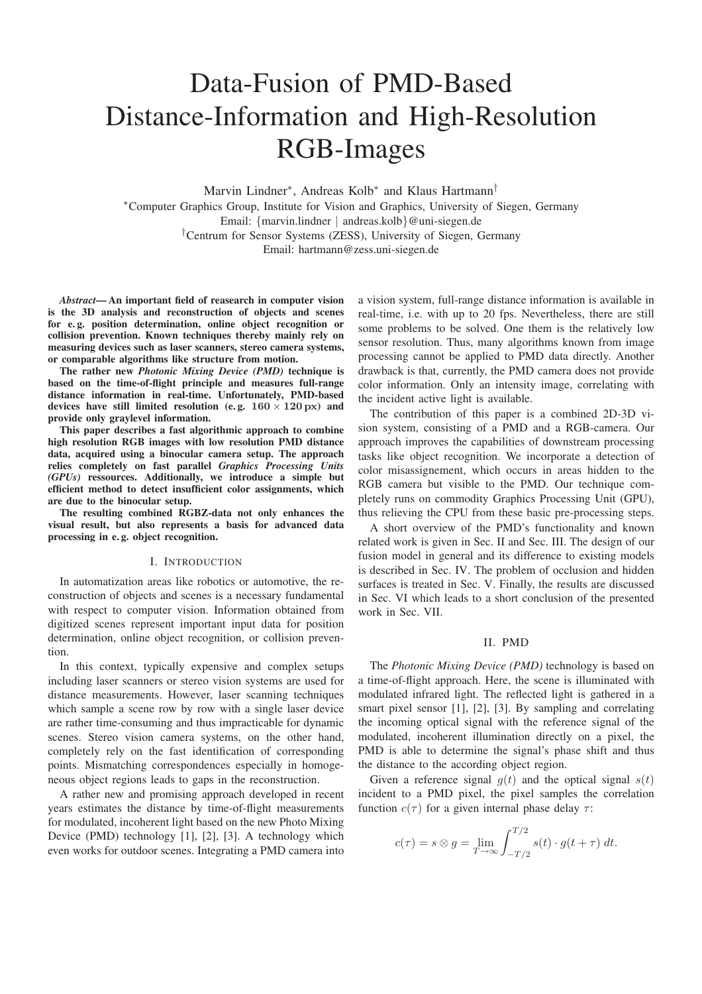# Data-Fusion of PMD-Based Distance-Information and High-Resolution RGB-Images

Marvin Lindner<sup>∗</sup>, Andreas Kolb<sup>∗</sup> and Klaus Hartmann<sup>†</sup>

∗Computer Graphics Group, Institute for Vision and Graphics, University of Siegen, Germany Email: {marvin.lindner | andreas.kolb}@uni-siegen.de †Centrum for Sensor Systems (ZESS), University of Siegen, Germany Email: hartmann@zess.uni-siegen.de

*Abstract***— An important field of reasearch in computer vision is the 3D analysis and reconstruction of objects and scenes for e. g. position determination, online object recognition or collision prevention. Known techniques thereby mainly rely on measuring devices such as laser scanners, stereo camera systems, or comparable algorithms like structure from motion.**

**The rather new** *Photonic Mixing Device (PMD)* **technique is based on the time-of-flight principle and measures full-range distance information in real-time. Unfortunately, PMD-based devices have still limited resolution (e. g. 160** *×* **120 px) and provide only graylevel information.**

**This paper describes a fast algorithmic approach to combine high resolution RGB images with low resolution PMD distance data, acquired using a binocular camera setup. The approach relies completely on fast parallel** *Graphics Processing Units (GPUs)* **ressources. Additionally, we introduce a simple but efficient method to detect insufficient color assignments, which are due to the binocular setup.**

**The resulting combined RGBZ-data not only enhances the visual result, but also represents a basis for advanced data processing in e. g. object recognition.**

#### I. INTRODUCTION

In automatization areas like robotics or automotive, the reconstruction of objects and scenes is a necessary fundamental with respect to computer vision. Information obtained from digitized scenes represent important input data for position determination, online object recognition, or collision prevention.

In this context, typically expensive and complex setups including laser scanners or stereo vision systems are used for distance measurements. However, laser scanning techniques which sample a scene row by row with a single laser device are rather time-consuming and thus impracticable for dynamic scenes. Stereo vision camera systems, on the other hand, completely rely on the fast identification of corresponding points. Mismatching correspondences especially in homogeneous object regions leads to gaps in the reconstruction.

A rather new and promising approach developed in recent years estimates the distance by time-of-flight measurements for modulated, incoherent light based on the new Photo Mixing Device (PMD) technology [1], [2], [3]. A technology which even works for outdoor scenes. Integrating a PMD camera into

a vision system, full-range distance information is available in real-time, i.e. with up to 20 fps. Nevertheless, there are still some problems to be solved. One them is the relatively low sensor resolution. Thus, many algorithms known from image processing cannot be applied to PMD data directly. Another drawback is that, currently, the PMD camera does not provide color information. Only an intensity image, correlating with the incident active light is available.

The contribution of this paper is a combined 2D-3D vision system, consisting of a PMD and a RGB-camera. Our approach improves the capabilities of downstream processing tasks like object recognition. We incorporate a detection of color misassignement, which occurs in areas hidden to the RGB camera but visible to the PMD. Our technique completely runs on commodity Graphics Processing Unit (GPU), thus relieving the CPU from these basic pre-processing steps.

A short overview of the PMD's functionality and known related work is given in Sec. II and Sec. III. The design of our fusion model in general and its difference to existing models is described in Sec. IV. The problem of occlusion and hidden surfaces is treated in Sec. V. Finally, the results are discussed in Sec. VI which leads to a short conclusion of the presented work in Sec. VII.

#### II. PMD

The *Photonic Mixing Device (PMD)* technology is based on a time-of-flight approach. Here, the scene is illuminated with modulated infrared light. The reflected light is gathered in a smart pixel sensor [1], [2], [3]. By sampling and correlating the incoming optical signal with the reference signal of the modulated, incoherent illumination directly on a pixel, the PMD is able to determine the signal's phase shift and thus the distance to the according object region.

Given a reference signal  $g(t)$  and the optical signal  $s(t)$ incident to a PMD pixel, the pixel samples the correlation function  $c(\tau)$  for a given internal phase delay  $\tau$ :

$$
c(\tau) = s \otimes g = \lim_{T \to \infty} \int_{-T/2}^{T/2} s(t) \cdot g(t + \tau) dt.
$$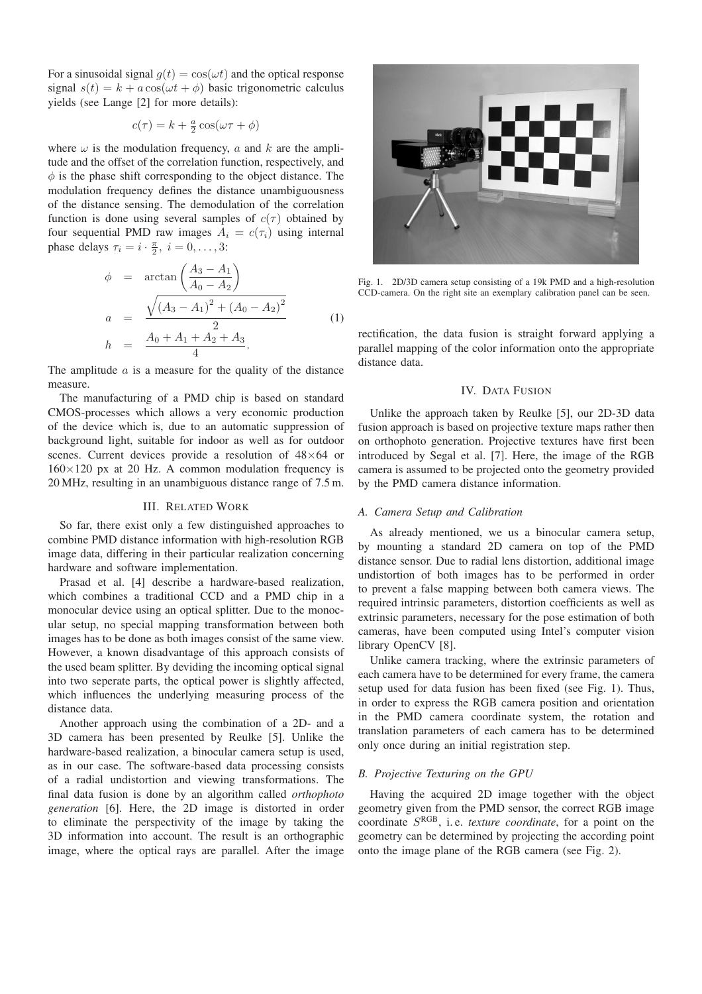For a sinusoidal signal  $g(t) = cos(\omega t)$  and the optical response signal  $s(t) = k + a \cos(\omega t + \phi)$  basic trigonometric calculus yields (see Lange [2] for more details):

$$
c(\tau) = k + \frac{a}{2}\cos(\omega \tau + \phi)
$$

where  $\omega$  is the modulation frequency, a and k are the amplitude and the offset of the correlation function, respectively, and  $\phi$  is the phase shift corresponding to the object distance. The modulation frequency defines the distance unambiguousness of the distance sensing. The demodulation of the correlation function is done using several samples of  $c(\tau)$  obtained by four sequential PMD raw images  $A_i = c(\tau_i)$  using internal phase delays  $\tau_i = i \cdot \frac{\pi}{2}, i = 0, \ldots, 3$ :

$$
\phi = \arctan\left(\frac{A_3 - A_1}{A_0 - A_2}\right)
$$
\n
$$
a = \frac{\sqrt{(A_3 - A_1)^2 + (A_0 - A_2)^2}}{2}
$$
\n
$$
h = \frac{A_0 + A_1 + A_2 + A_3}{4}.
$$
\n(1)

The amplitude  $a$  is a measure for the quality of the distance measure.

The manufacturing of a PMD chip is based on standard CMOS-processes which allows a very economic production of the device which is, due to an automatic suppression of background light, suitable for indoor as well as for outdoor scenes. Current devices provide a resolution of 48×64 or  $160\times120$  px at 20 Hz. A common modulation frequency is 20 MHz, resulting in an unambiguous distance range of 7.5 m.

#### III. RELATED WORK

So far, there exist only a few distinguished approaches to combine PMD distance information with high-resolution RGB image data, differing in their particular realization concerning hardware and software implementation.

Prasad et al. [4] describe a hardware-based realization, which combines a traditional CCD and a PMD chip in a monocular device using an optical splitter. Due to the monocular setup, no special mapping transformation between both images has to be done as both images consist of the same view. However, a known disadvantage of this approach consists of the used beam splitter. By deviding the incoming optical signal into two seperate parts, the optical power is slightly affected, which influences the underlying measuring process of the distance data.

Another approach using the combination of a 2D- and a 3D camera has been presented by Reulke [5]. Unlike the hardware-based realization, a binocular camera setup is used, as in our case. The software-based data processing consists of a radial undistortion and viewing transformations. The final data fusion is done by an algorithm called *orthophoto generation* [6]. Here, the 2D image is distorted in order to eliminate the perspectivity of the image by taking the 3D information into account. The result is an orthographic image, where the optical rays are parallel. After the image



Fig. 1. 2D/3D camera setup consisting of a 19k PMD and a high-resolution CCD-camera. On the right site an exemplary calibration panel can be seen.

rectification, the data fusion is straight forward applying a parallel mapping of the color information onto the appropriate distance data.

## IV. DATA FUSION

Unlike the approach taken by Reulke [5], our 2D-3D data fusion approach is based on projective texture maps rather then on orthophoto generation. Projective textures have first been introduced by Segal et al. [7]. Here, the image of the RGB camera is assumed to be projected onto the geometry provided by the PMD camera distance information.

## *A. Camera Setup and Calibration*

As already mentioned, we us a binocular camera setup, by mounting a standard 2D camera on top of the PMD distance sensor. Due to radial lens distortion, additional image undistortion of both images has to be performed in order to prevent a false mapping between both camera views. The required intrinsic parameters, distortion coefficients as well as extrinsic parameters, necessary for the pose estimation of both cameras, have been computed using Intel's computer vision library OpenCV [8].

Unlike camera tracking, where the extrinsic parameters of each camera have to be determined for every frame, the camera setup used for data fusion has been fixed (see Fig. 1). Thus, in order to express the RGB camera position and orientation in the PMD camera coordinate system, the rotation and translation parameters of each camera has to be determined only once during an initial registration step.

## *B. Projective Texturing on the GPU*

Having the acquired 2D image together with the object geometry given from the PMD sensor, the correct RGB image coordinate SRGB, i. e. *texture coordinate*, for a point on the geometry can be determined by projecting the according point onto the image plane of the RGB camera (see Fig. 2).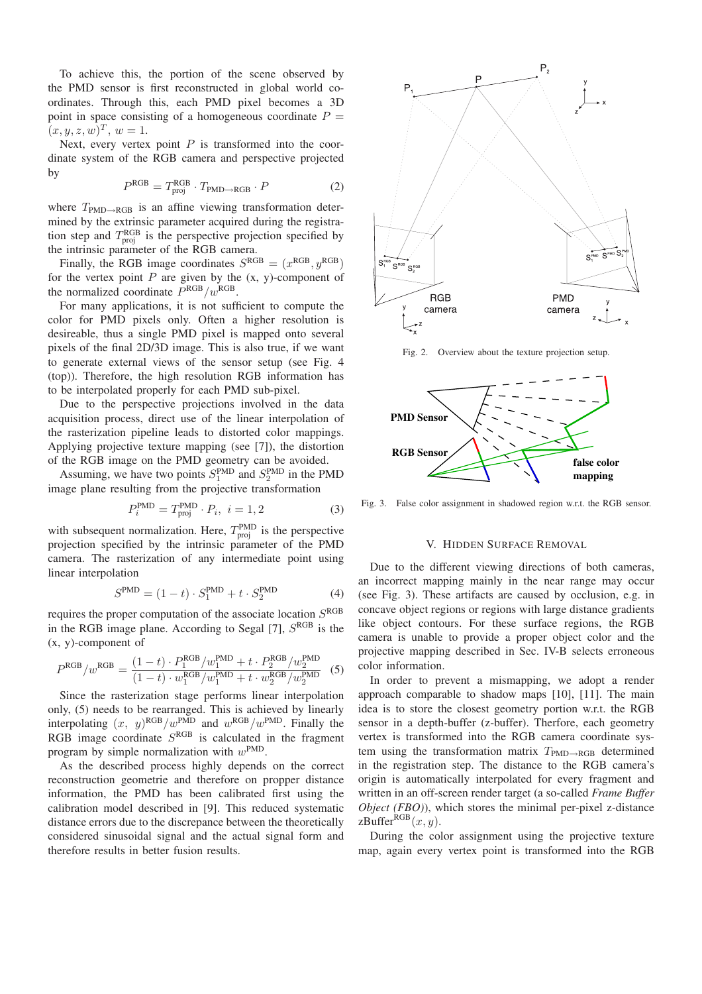To achieve this, the portion of the scene observed by the PMD sensor is first reconstructed in global world coordinates. Through this, each PMD pixel becomes a 3D point in space consisting of a homogeneous coordinate  $P =$  $(x, y, z, w)^T$ ,  $w = 1$ .

Next, every vertex point  $P$  is transformed into the coordinate system of the RGB camera and perspective projected by

$$
PRGB = TprojRGB \cdot TPMD \rightarrow RGB \cdot P
$$
 (2)

where  $T_{\text{PMD}\rightarrow\text{RGB}}$  is an affine viewing transformation determined by the extrinsic parameter acquired during the registration step and  $T_{\text{proj}}^{\text{RGB}}$  is the perspective projection specified by the intrinsic parameter of the RGB camera.

Finally, the RGB image coordinates  $S^{RGB} = (x^{RGB}, y^{RGB})$ for the vertex point  $P$  are given by the  $(x, y)$ -component of the normalized coordinate  $\overline{P}^{\text{RGB}}/w^{\text{RGB}}$ .

For many applications, it is not sufficient to compute the color for PMD pixels only. Often a higher resolution is desireable, thus a single PMD pixel is mapped onto several pixels of the final 2D/3D image. This is also true, if we want to generate external views of the sensor setup (see Fig. 4 (top)). Therefore, the high resolution RGB information has to be interpolated properly for each PMD sub-pixel.

Due to the perspective projections involved in the data acquisition process, direct use of the linear interpolation of the rasterization pipeline leads to distorted color mappings. Applying projective texture mapping (see [7]), the distortion of the RGB image on the PMD geometry can be avoided.

Assuming, we have two points  $S_1^{\text{PMD}}$  and  $S_2^{\text{PMD}}$  in the PMD image plane resulting from the projective transformation

$$
P_i^{\text{PMD}} = T_{\text{proj}}^{\text{PMD}} \cdot P_i, \ i = 1, 2 \tag{3}
$$

with subsequent normalization. Here,  $T_{\text{proj}}^{\text{PMD}}$  is the perspective projection specified by the intrinsic parameter of the PMD camera. The rasterization of any intermediate point using linear interpolation

$$
S^{\text{PMD}} = (1 - t) \cdot S_1^{\text{PMD}} + t \cdot S_2^{\text{PMD}} \tag{4}
$$

requires the proper computation of the associate location  $S<sup>RGB</sup>$ in the RGB image plane. According to Segal [7],  $S<sup>RGB</sup>$  is the (x, y)-component of

$$
P^{\rm RGB}/w^{\rm RGB} = \frac{(1-t) \cdot P_1^{\rm RGB}/w_1^{\rm PMD} + t \cdot P_2^{\rm RGB}/w_2^{\rm PMD}}{(1-t) \cdot w_1^{\rm RGB}/w_1^{\rm PMD} + t \cdot w_2^{\rm RGB}/w_2^{\rm PMD}}
$$
 (5)

Since the rasterization stage performs linear interpolation only, (5) needs to be rearranged. This is achieved by linearly interpolating  $(x, y)^{RGB}/w^{P\overline{M}D}$  and  $w^{RGB}/w^{P\overline{M}D}$ . Finally the RGB image coordinate  $S<sup>RGB</sup>$  is calculated in the fragment program by simple normalization with  $w^{\text{PMD}}$ .

As the described process highly depends on the correct reconstruction geometrie and therefore on propper distance information, the PMD has been calibrated first using the calibration model described in [9]. This reduced systematic distance errors due to the discrepance between the theoretically considered sinusoidal signal and the actual signal form and therefore results in better fusion results.



Fig. 2. Overview about the texture projection setup.



Fig. 3. False color assignment in shadowed region w.r.t. the RGB sensor.

## V. HIDDEN SURFACE REMOVAL

Due to the different viewing directions of both cameras, an incorrect mapping mainly in the near range may occur (see Fig. 3). These artifacts are caused by occlusion, e.g. in concave object regions or regions with large distance gradients like object contours. For these surface regions, the RGB camera is unable to provide a proper object color and the projective mapping described in Sec. IV-B selects erroneous color information.

In order to prevent a mismapping, we adopt a render approach comparable to shadow maps [10], [11]. The main idea is to store the closest geometry portion w.r.t. the RGB sensor in a depth-buffer (z-buffer). Therfore, each geometry vertex is transformed into the RGB camera coordinate system using the transformation matrix  $T_{\text{PMD}\rightarrow\text{RGB}}$  determined in the registration step. The distance to the RGB camera's origin is automatically interpolated for every fragment and written in an off-screen render target (a so-called *Frame Buffer Object (FBO)*), which stores the minimal per-pixel z-distance zBuffer $RGB(x, y)$ .

During the color assignment using the projective texture map, again every vertex point is transformed into the RGB